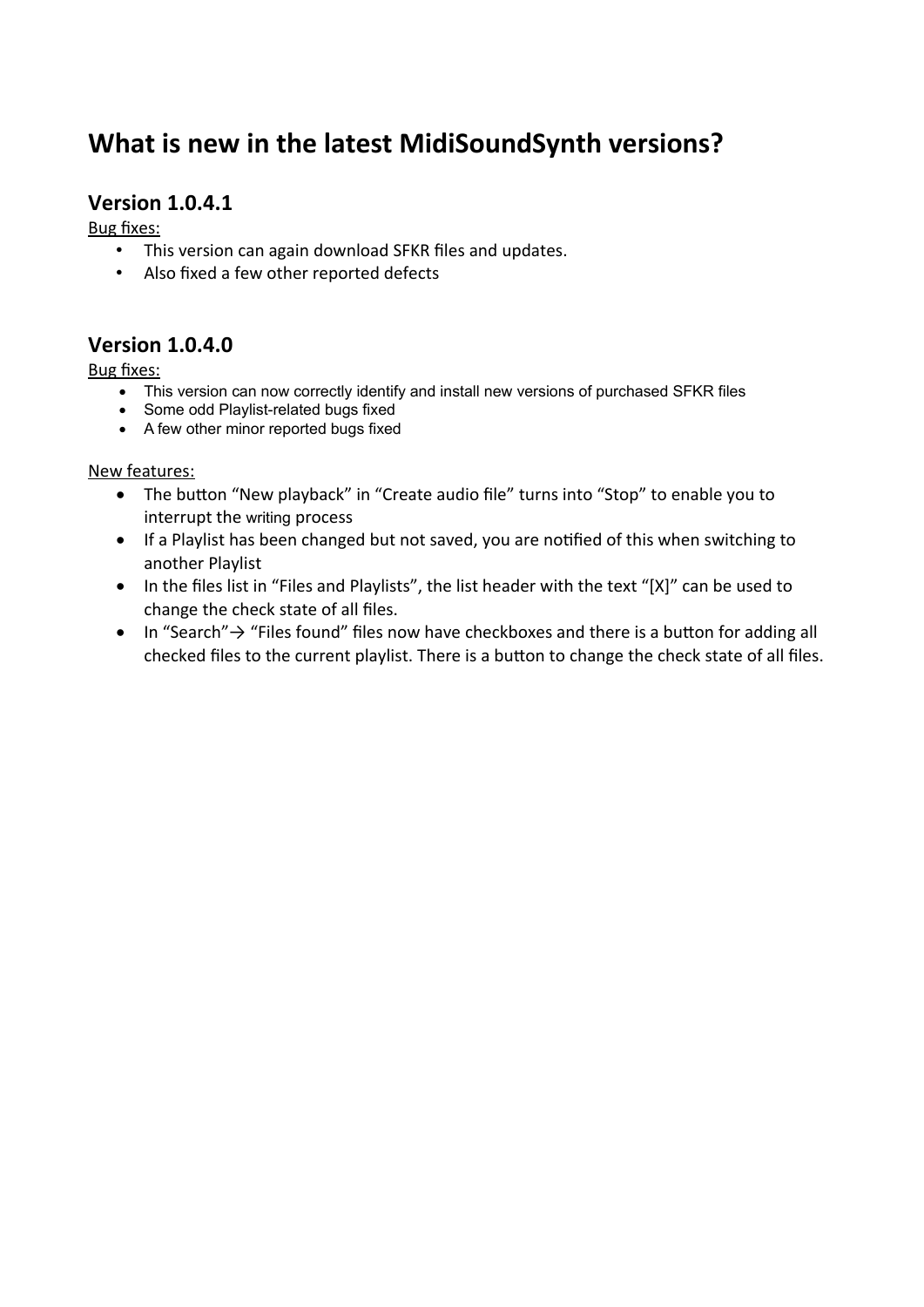# **What is new in the latest MidiSoundSynth versions?**

# **Version 1.0.4.1**

Bug fixes:

- This version can again download SFKR files and updates.
- Also fixed a few other reported defects

## **Version 1.0.4.0**

Bug fixes:

- This version can now correctly identify and install new versions of purchased SFKR files
- Some odd Playlist-related bugs fixed
- A few other minor reported bugs fixed

New features:

- The button "New playback" in "Create audio file" turns into "Stop" to enable you to interrupt the writing process
- If a Playlist has been changed but not saved, you are notified of this when switching to another Playlist
- In the files list in "Files and Playlists", the list header with the text "[X]" can be used to change the check state of all files.
- In "Search" → "Files found" files now have checkboxes and there is a button for adding all checked files to the current playlist. There is a button to change the check state of all files.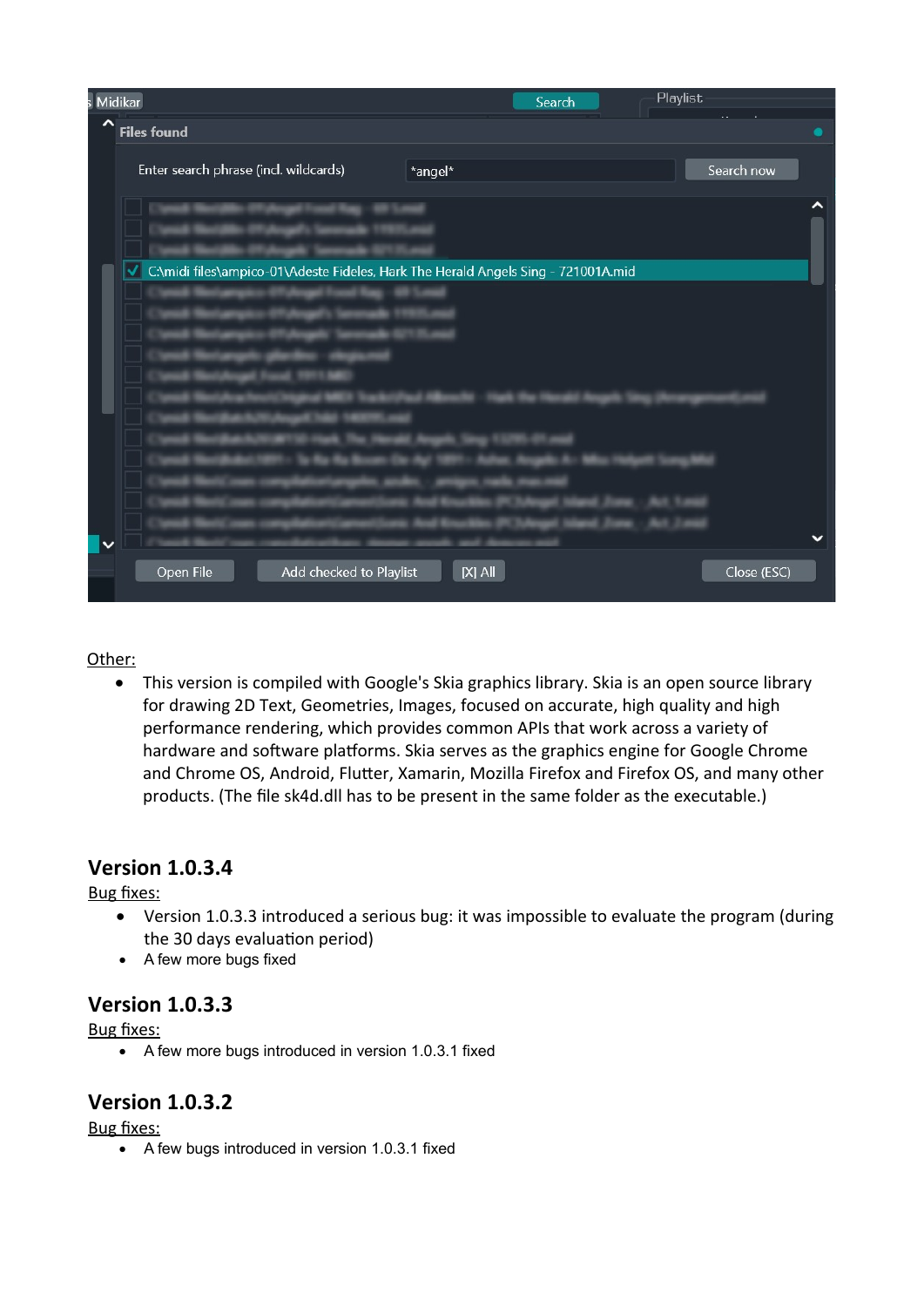| s Midikar                                                                              |           | Search | Playlist |              |
|----------------------------------------------------------------------------------------|-----------|--------|----------|--------------|
| $\hat{\phantom{a}}$<br><b>Files found</b>                                              |           |        |          |              |
| Enter search phrase (incl. wildcards)                                                  | *angel*   |        |          | Search now   |
|                                                                                        |           |        |          |              |
| C:\midi files\ampico-01\Adeste Fideles, Hark The Herald Angels Sing - 721001A.mid<br>√ |           |        |          |              |
| $\checkmark$                                                                           |           |        |          | $\checkmark$ |
| Add checked to Playlist<br>Open File                                                   | $[X]$ All |        |          | Close (ESC)  |

#### Other:

 This version is compiled with Google's Skia graphics library. Skia is an open source library for drawing 2D Text, Geometries, Images, focused on accurate, high quality and high performance rendering, which provides common APIs that work across a variety of hardware and software platforms. Skia serves as the graphics engine for Google Chrome and Chrome OS, Android, Flutter, Xamarin, Mozilla Firefox and Firefox OS, and many other products. (The file sk4d.dll has to be present in the same folder as the executable.)

## **Version 1.0.3.4**

#### Bug fixes:

- Version 1.0.3.3 introduced a serious bug: it was impossible to evaluate the program (during the 30 days evaluation period)
- A few more bugs fixed

## **Version 1.0.3.3**

Bug fixes:

A few more bugs introduced in version 1.0.3.1 fixed

## **Version 1.0.3.2**

Bug fixes:

A few bugs introduced in version 1.0.3.1 fixed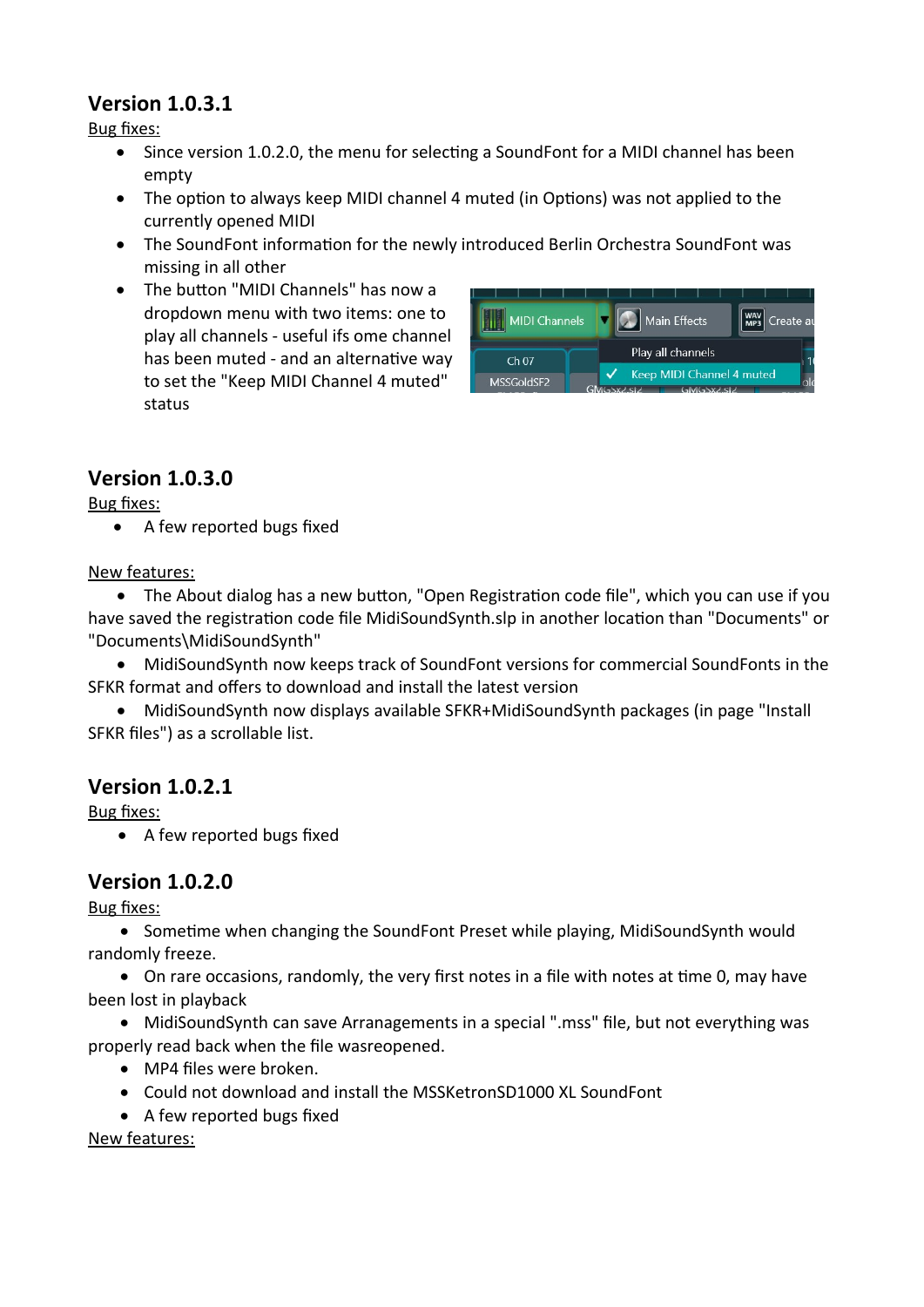# **Version 1.0.3.1**

Bug fixes:

- Since version 1.0.2.0, the menu for selecting a SoundFont for a MIDI channel has been empty
- The option to always keep MIDI channel 4 muted (in Options) was not applied to the currently opened MIDI
- The SoundFont information for the newly introduced Berlin Orchestra SoundFont was missing in all other
- The button "MIDI Channels" has now a dropdown menu with two items: one to play all channels - useful ifs ome channel has been muted - and an alternative way to set the "Keep MIDI Channel 4 muted" status

| MIDI Channels    |                           | Main Effects      |  | way   Create au |  |
|------------------|---------------------------|-------------------|--|-----------------|--|
| Ch <sub>07</sub> |                           | Play all channels |  |                 |  |
| MSSGoldSF2       | Keep MIDI Channel 4 muted |                   |  |                 |  |
|                  |                           | <b>GMGSXZ.STZ</b> |  |                 |  |

# **Version 1.0.3.0**

Bug fixes:

• A few reported bugs fixed

#### New features:

 The About dialog has a new button, "Open Registration code file", which you can use if you have saved the registration code file MidiSoundSynth.slp in another location than "Documents" or "Documents\MidiSoundSynth"

 MidiSoundSynth now keeps track of SoundFont versions for commercial SoundFonts in the SFKR format and offers to download and install the latest version

 MidiSoundSynth now displays available SFKR+MidiSoundSynth packages (in page "Install SFKR files") as a scrollable list.

# **Version 1.0.2.1**

Bug fixes:

• A few reported bugs fixed

# **Version 1.0.2.0**

Bug fixes:

• Sometime when changing the SoundFont Preset while playing, MidiSoundSynth would randomly freeze.

 On rare occasions, randomly, the very first notes in a file with notes at time 0, may have been lost in playback

 MidiSoundSynth can save Arranagements in a special ".mss" file, but not everything was properly read back when the file wasreopened.

- MP4 files were broken.
- Could not download and install the MSSKetronSD1000 XL SoundFont
- A few reported bugs fixed

New features: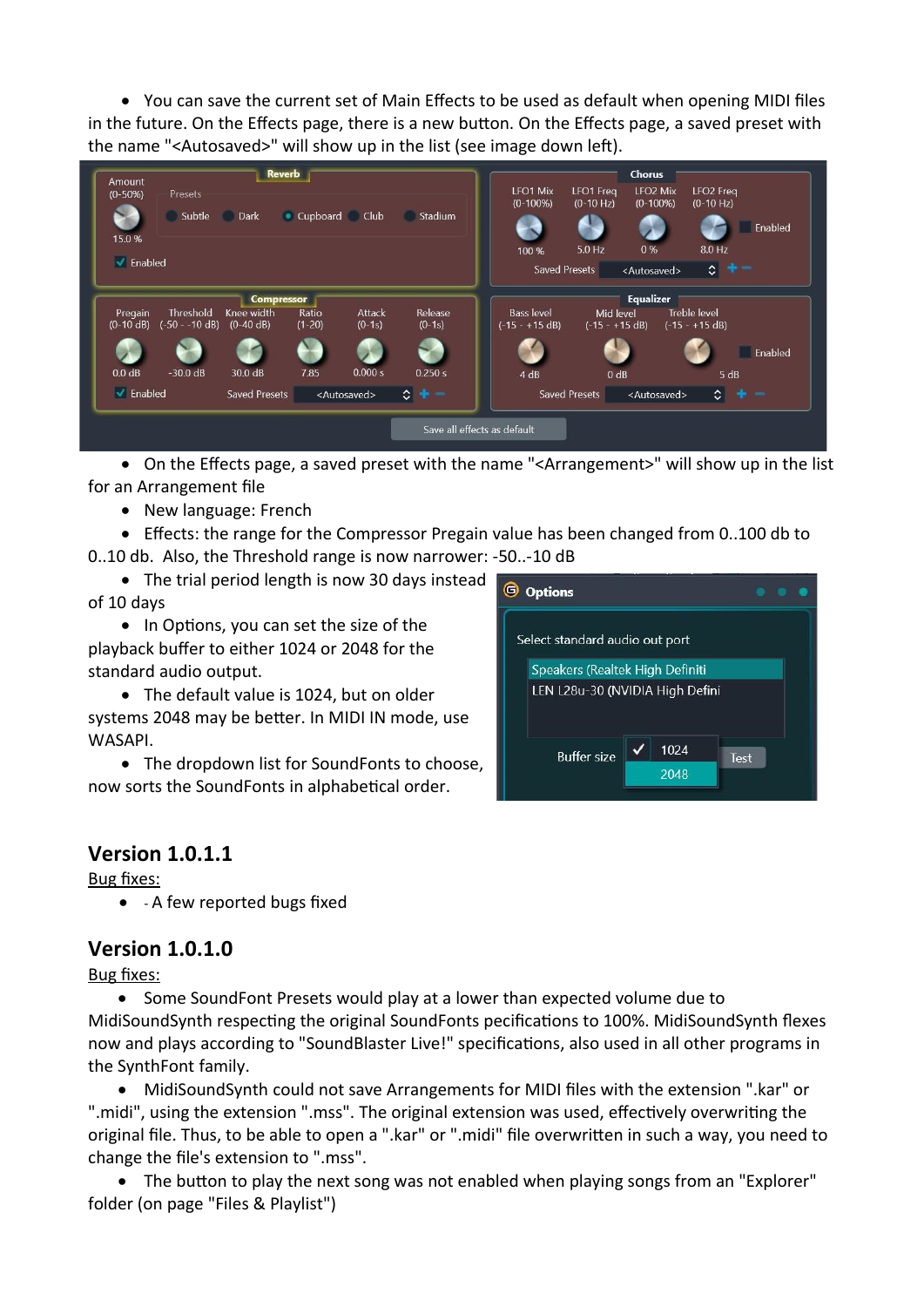You can save the current set of Main Effects to be used as default when opening MIDI files in the future. On the Effects page, there is a new button. On the Effects page, a saved preset with the name "<Autosaved>" will show up in the list (see image down left).



 On the Effects page, a saved preset with the name "<Arrangement>" will show up in the list for an Arrangement file

• New language: French

Effects: the range for the Compressor Pregain value has been changed from 0..100 db to

0..10 db. Also, the Threshold range is now narrower: -50..-10 dB

• The trial period length is now 30 days instead of 10 days

• In Options, you can set the size of the playback buffer to either 1024 or 2048 for the standard audio output.

 The default value is 1024, but on older systems 2048 may be better. In MIDI IN mode, use WASAPI.

• The dropdown list for SoundFonts to choose, now sorts the SoundFonts in alphabetical order.



## **Version 1.0.1.1**

#### Bug fixes:

• - A few reported bugs fixed

## **Version 1.0.1.0**

Bug fixes:

 Some SoundFont Presets would play at a lower than expected volume due to MidiSoundSynth respecting the original SoundFonts pecifications to 100%. MidiSoundSynth flexes now and plays according to "SoundBlaster Live!" specifications, also used in all other programs in the SynthFont family.

 MidiSoundSynth could not save Arrangements for MIDI files with the extension ".kar" or ".midi", using the extension ".mss". The original extension was used, effectively overwriting the original file. Thus, to be able to open a ".kar" or ".midi" file overwritten in such a way, you need to change the file's extension to ".mss".

 The button to play the next song was not enabled when playing songs from an "Explorer" folder (on page "Files & Playlist")